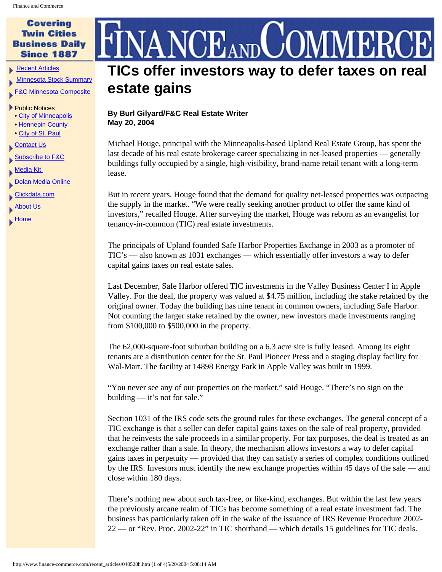## **Covering Twin Cities Business Daily Since 1887**

[Recent Articles](http://www.finance-commerce.com/recent_articles.htm)

[Minnesota Stock Summary](http://studio.financialcontent.com/Engine?Account=finance&PageName=MARKETSUMMARY)

[F&C Minnesota Composite](http://studio.financialcontent.com/Engine?Account=finance&PageName=INDEX&Index=$FCCMP&Mode=SORT)

## ▶ Public Notices

- [City of Minneapolis](http://www.finance-commerce.com/pubnot/mpls_notices.htm)
- [Hennepin County](http://www.co.hennepin.mn.us/vgn/portal/internet/hcchannelmaster/0,2324,1273_81770__2,00.html)
- [City of St. Paul](http://www.ci.stpaul.mn.us/council/minutes)
- [Contact Us](http://www.finance-commerce.com/contact.htm)
- **[Subscribe to F&C](http://www.finance-commerce.com/subscribe.cfm)**

[Media Kit](http://www.finance-commerce.com/media_kit.htm) 

- **[Dolan Media Online](http://www.dolanmedia.com/)**
- [Clickdata.com](http://www.clickdata.com/)
- [About Us](http://www.finance-commerce.com/aboutus.htm)
- **Home**

## $\operatorname{ANCE}_{\text{\tiny{AND}}}$ **TICs offer investors way to defer taxes on real estate gains**

## **By Burl Gilyard/F&C Real Estate Writer May 20, 2004**

Michael Houge, principal with the Minneapolis-based Upland Real Estate Group, has spent the last decade of his real estate brokerage career specializing in net-leased properties — generally buildings fully occupied by a single, high-visibility, brand-name retail tenant with a long-term lease.

But in recent years, Houge found that the demand for quality net-leased properties was outpacing the supply in the market. "We were really seeking another product to offer the same kind of investors," recalled Houge. After surveying the market, Houge was reborn as an evangelist for tenancy-in-common (TIC) real estate investments.

The principals of Upland founded Safe Harbor Properties Exchange in 2003 as a promoter of TIC's — also known as 1031 exchanges — which essentially offer investors a way to defer capital gains taxes on real estate sales.

Last December, Safe Harbor offered TIC investments in the Valley Business Center I in Apple Valley. For the deal, the property was valued at \$4.75 million, including the stake retained by the original owner. Today the building has nine tenant in common owners, including Safe Harbor. Not counting the larger stake retained by the owner, new investors made investments ranging from \$100,000 to \$500,000 in the property.

The 62,000-square-foot suburban building on a 6.3 acre site is fully leased. Among its eight tenants are a distribution center for the St. Paul Pioneer Press and a staging display facility for Wal-Mart. The facility at 14898 Energy Park in Apple Valley was built in 1999.

"You never see any of our properties on the market," said Houge. "There's no sign on the building — it's not for sale."

Section 1031 of the IRS code sets the ground rules for these exchanges. The general concept of a TIC exchange is that a seller can defer capital gains taxes on the sale of real property, provided that he reinvests the sale proceeds in a similar property. For tax purposes, the deal is treated as an exchange rather than a sale. In theory, the mechanism allows investors a way to defer capital gains taxes in perpetuity — provided that they can satisfy a series of complex conditions outlined by the IRS. Investors must identify the new exchange properties within 45 days of the sale — and close within 180 days.

There's nothing new about such tax-free, or like-kind, exchanges. But within the last few years the previously arcane realm of TICs has become something of a real estate investment fad. The business has particularly taken off in the wake of the issuance of IRS Revenue Procedure 2002- 22 — or "Rev. Proc. 2002-22" in TIC shorthand — which details 15 guidelines for TIC deals.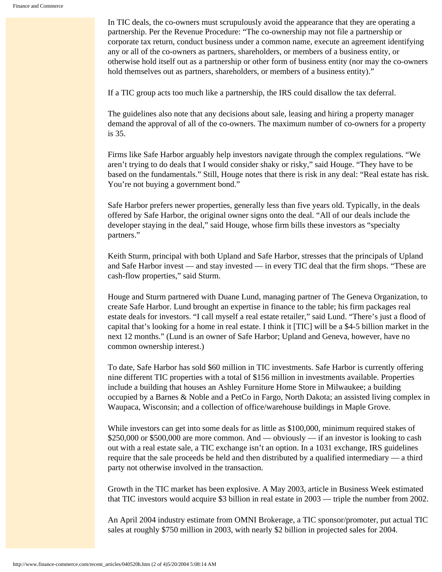In TIC deals, the co-owners must scrupulously avoid the appearance that they are operating a partnership. Per the Revenue Procedure: "The co-ownership may not file a partnership or corporate tax return, conduct business under a common name, execute an agreement identifying any or all of the co-owners as partners, shareholders, or members of a business entity, or otherwise hold itself out as a partnership or other form of business entity (nor may the co-owners hold themselves out as partners, shareholders, or members of a business entity)."

If a TIC group acts too much like a partnership, the IRS could disallow the tax deferral.

The guidelines also note that any decisions about sale, leasing and hiring a property manager demand the approval of all of the co-owners. The maximum number of co-owners for a property is 35.

Firms like Safe Harbor arguably help investors navigate through the complex regulations. "We aren't trying to do deals that I would consider shaky or risky," said Houge. "They have to be based on the fundamentals." Still, Houge notes that there is risk in any deal: "Real estate has risk. You're not buying a government bond."

Safe Harbor prefers newer properties, generally less than five years old. Typically, in the deals offered by Safe Harbor, the original owner signs onto the deal. "All of our deals include the developer staying in the deal," said Houge, whose firm bills these investors as "specialty partners."

Keith Sturm, principal with both Upland and Safe Harbor, stresses that the principals of Upland and Safe Harbor invest — and stay invested — in every TIC deal that the firm shops. "These are cash-flow properties," said Sturm.

Houge and Sturm partnered with Duane Lund, managing partner of The Geneva Organization, to create Safe Harbor. Lund brought an expertise in finance to the table; his firm packages real estate deals for investors. "I call myself a real estate retailer," said Lund. "There's just a flood of capital that's looking for a home in real estate. I think it [TIC] will be a \$4-5 billion market in the next 12 months." (Lund is an owner of Safe Harbor; Upland and Geneva, however, have no common ownership interest.)

To date, Safe Harbor has sold \$60 million in TIC investments. Safe Harbor is currently offering nine different TIC properties with a total of \$156 million in investments available. Properties include a building that houses an Ashley Furniture Home Store in Milwaukee; a building occupied by a Barnes & Noble and a PetCo in Fargo, North Dakota; an assisted living complex in Waupaca, Wisconsin; and a collection of office/warehouse buildings in Maple Grove.

While investors can get into some deals for as little as \$100,000, minimum required stakes of \$250,000 or \$500,000 are more common. And — obviously — if an investor is looking to cash out with a real estate sale, a TIC exchange isn't an option. In a 1031 exchange, IRS guidelines require that the sale proceeds be held and then distributed by a qualified intermediary — a third party not otherwise involved in the transaction.

Growth in the TIC market has been explosive. A May 2003, article in Business Week estimated that TIC investors would acquire \$3 billion in real estate in 2003 — triple the number from 2002.

An April 2004 industry estimate from OMNI Brokerage, a TIC sponsor/promoter, put actual TIC sales at roughly \$750 million in 2003, with nearly \$2 billion in projected sales for 2004.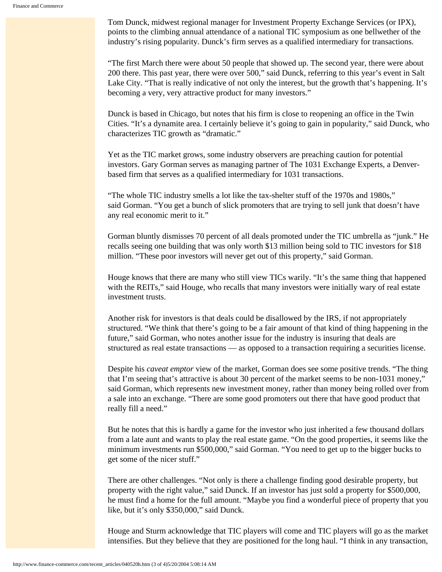Tom Dunck, midwest regional manager for Investment Property Exchange Services (or IPX), points to the climbing annual attendance of a national TIC symposium as one bellwether of the industry's rising popularity. Dunck's firm serves as a qualified intermediary for transactions.

"The first March there were about 50 people that showed up. The second year, there were about 200 there. This past year, there were over 500," said Dunck, referring to this year's event in Salt Lake City. "That is really indicative of not only the interest, but the growth that's happening. It's becoming a very, very attractive product for many investors."

Dunck is based in Chicago, but notes that his firm is close to reopening an office in the Twin Cities. "It's a dynamite area. I certainly believe it's going to gain in popularity," said Dunck, who characterizes TIC growth as "dramatic."

Yet as the TIC market grows, some industry observers are preaching caution for potential investors. Gary Gorman serves as managing partner of The 1031 Exchange Experts, a Denverbased firm that serves as a qualified intermediary for 1031 transactions.

"The whole TIC industry smells a lot like the tax-shelter stuff of the 1970s and 1980s," said Gorman. "You get a bunch of slick promoters that are trying to sell junk that doesn't have any real economic merit to it."

Gorman bluntly dismisses 70 percent of all deals promoted under the TIC umbrella as "junk." He recalls seeing one building that was only worth \$13 million being sold to TIC investors for \$18 million. "These poor investors will never get out of this property," said Gorman.

Houge knows that there are many who still view TICs warily. "It's the same thing that happened with the REITs," said Houge, who recalls that many investors were initially wary of real estate investment trusts.

Another risk for investors is that deals could be disallowed by the IRS, if not appropriately structured. "We think that there's going to be a fair amount of that kind of thing happening in the future," said Gorman, who notes another issue for the industry is insuring that deals are structured as real estate transactions — as opposed to a transaction requiring a securities license.

Despite his *caveat emptor* view of the market, Gorman does see some positive trends. "The thing that I'm seeing that's attractive is about 30 percent of the market seems to be non-1031 money," said Gorman, which represents new investment money, rather than money being rolled over from a sale into an exchange. "There are some good promoters out there that have good product that really fill a need."

But he notes that this is hardly a game for the investor who just inherited a few thousand dollars from a late aunt and wants to play the real estate game. "On the good properties, it seems like the minimum investments run \$500,000," said Gorman. "You need to get up to the bigger bucks to get some of the nicer stuff."

There are other challenges. "Not only is there a challenge finding good desirable property, but property with the right value," said Dunck. If an investor has just sold a property for \$500,000, he must find a home for the full amount. "Maybe you find a wonderful piece of property that you like, but it's only \$350,000," said Dunck.

Houge and Sturm acknowledge that TIC players will come and TIC players will go as the market intensifies. But they believe that they are positioned for the long haul. "I think in any transaction,